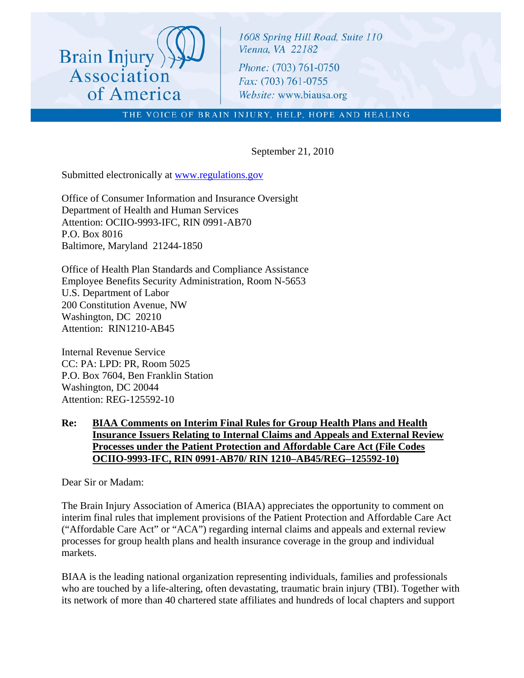

1608 Spring Hill Road, Suite 110 Vienna, VA 22182 Phone: (703) 761-0750 Fax: (703) 761-0755 Website: www.biausa.org

THE VOICE OF BRAIN INJURY, HELP, HOPE AND HEALING

September 21, 2010

Submitted electronically at [www.regulations.gov](http://www.regulations.gov/)

Office of Consumer Information and Insurance Oversight Department of Health and Human Services Attention: OCIIO-9993-IFC, RIN 0991-AB70 P.O. Box 8016 Baltimore, Maryland 21244-1850

Office of Health Plan Standards and Compliance Assistance Employee Benefits Security Administration, Room N-5653 U.S. Department of Labor 200 Constitution Avenue, NW Washington, DC 20210 Attention: RIN1210-AB45

Internal Revenue Service CC: PA: LPD: PR, Room 5025 P.O. Box 7604, Ben Franklin Station Washington, DC 20044 Attention: REG-125592-10

#### **Re: BIAA Comments on Interim Final Rules for Group Health Plans and Health Insurance Issuers Relating to Internal Claims and Appeals and External Review Processes under the Patient Protection and Affordable Care Act (File Codes OCIIO-9993-IFC, RIN 0991-AB70/ RIN 1210–AB45/REG–125592-10)**

Dear Sir or Madam:

The Brain Injury Association of America (BIAA) appreciates the opportunity to comment on interim final rules that implement provisions of the Patient Protection and Affordable Care Act ("Affordable Care Act" or "ACA") regarding internal claims and appeals and external review processes for group health plans and health insurance coverage in the group and individual markets.

BIAA is the leading national organization representing individuals, families and professionals who are touched by a life-altering, often devastating, traumatic brain injury (TBI). Together with its network of more than 40 chartered state affiliates and hundreds of local chapters and support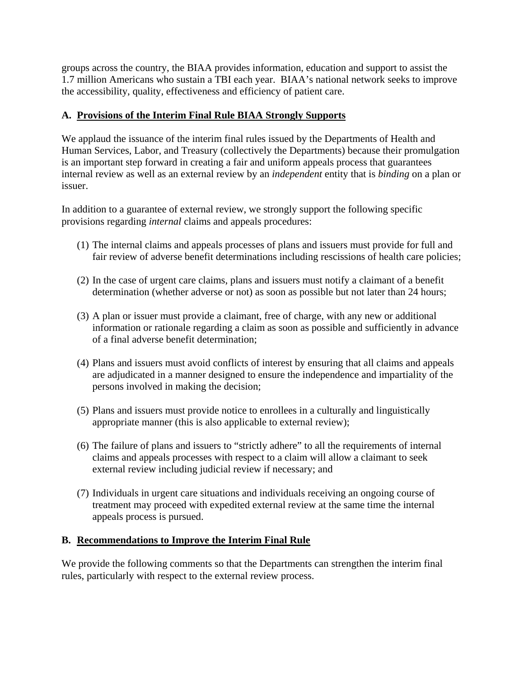groups across the country, the BIAA provides information, education and support to assist the 1.7 million Americans who sustain a TBI each year. BIAA's national network seeks to improve the accessibility, quality, effectiveness and efficiency of patient care.

# **A. Provisions of the Interim Final Rule BIAA Strongly Supports**

We applaud the issuance of the interim final rules issued by the Departments of Health and Human Services, Labor, and Treasury (collectively the Departments) because their promulgation is an important step forward in creating a fair and uniform appeals process that guarantees internal review as well as an external review by an *independent* entity that is *binding* on a plan or issuer.

In addition to a guarantee of external review, we strongly support the following specific provisions regarding *internal* claims and appeals procedures:

- (1) The internal claims and appeals processes of plans and issuers must provide for full and fair review of adverse benefit determinations including rescissions of health care policies;
- (2) In the case of urgent care claims, plans and issuers must notify a claimant of a benefit determination (whether adverse or not) as soon as possible but not later than 24 hours;
- (3) A plan or issuer must provide a claimant, free of charge, with any new or additional information or rationale regarding a claim as soon as possible and sufficiently in advance of a final adverse benefit determination;
- (4) Plans and issuers must avoid conflicts of interest by ensuring that all claims and appeals are adjudicated in a manner designed to ensure the independence and impartiality of the persons involved in making the decision;
- (5) Plans and issuers must provide notice to enrollees in a culturally and linguistically appropriate manner (this is also applicable to external review);
- (6) The failure of plans and issuers to "strictly adhere" to all the requirements of internal claims and appeals processes with respect to a claim will allow a claimant to seek external review including judicial review if necessary; and
- (7) Individuals in urgent care situations and individuals receiving an ongoing course of treatment may proceed with expedited external review at the same time the internal appeals process is pursued.

## **B. Recommendations to Improve the Interim Final Rule**

We provide the following comments so that the Departments can strengthen the interim final rules, particularly with respect to the external review process.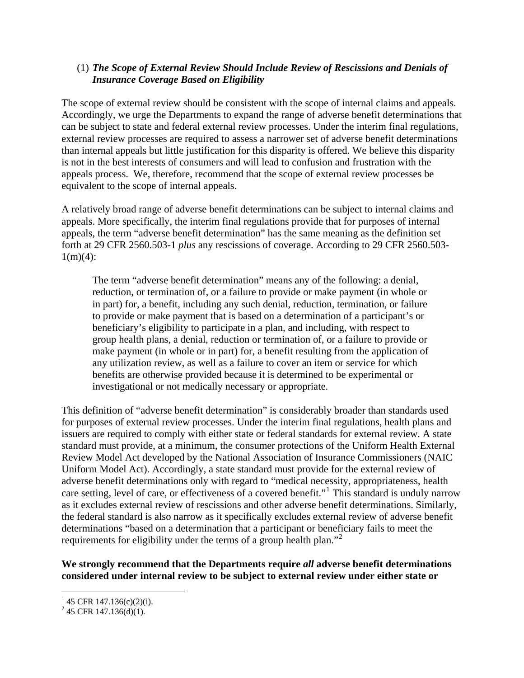## (1) *The Scope of External Review Should Include Review of Rescissions and Denials of Insurance Coverage Based on Eligibility*

The scope of external review should be consistent with the scope of internal claims and appeals. Accordingly, we urge the Departments to expand the range of adverse benefit determinations that can be subject to state and federal external review processes. Under the interim final regulations, external review processes are required to assess a narrower set of adverse benefit determinations than internal appeals but little justification for this disparity is offered. We believe this disparity is not in the best interests of consumers and will lead to confusion and frustration with the appeals process. We, therefore, recommend that the scope of external review processes be equivalent to the scope of internal appeals.

A relatively broad range of adverse benefit determinations can be subject to internal claims and appeals. More specifically, the interim final regulations provide that for purposes of internal appeals, the term "adverse benefit determination" has the same meaning as the definition set forth at 29 CFR 2560.503-1 *plus* any rescissions of coverage. According to 29 CFR 2560.503-  $1(m)(4)$ :

The term "adverse benefit determination" means any of the following: a denial, reduction, or termination of, or a failure to provide or make payment (in whole or in part) for, a benefit, including any such denial, reduction, termination, or failure to provide or make payment that is based on a determination of a participant's or beneficiary's eligibility to participate in a plan, and including, with respect to group health plans, a denial, reduction or termination of, or a failure to provide or make payment (in whole or in part) for, a benefit resulting from the application of any utilization review, as well as a failure to cover an item or service for which benefits are otherwise provided because it is determined to be experimental or investigational or not medically necessary or appropriate.

This definition of "adverse benefit determination" is considerably broader than standards used for purposes of external review processes. Under the interim final regulations, health plans and issuers are required to comply with either state or federal standards for external review. A state standard must provide, at a minimum, the consumer protections of the Uniform Health External Review Model Act developed by the National Association of Insurance Commissioners (NAIC Uniform Model Act). Accordingly, a state standard must provide for the external review of adverse benefit determinations only with regard to "medical necessity, appropriateness, health care setting, level of care, or effectiveness of a covered benefit."<sup>[1](#page-2-0)</sup> This standard is unduly narrow as it excludes external review of rescissions and other adverse benefit determinations. Similarly, the federal standard is also narrow as it specifically excludes external review of adverse benefit determinations "based on a determination that a participant or beneficiary fails to meet the requirements for eligibility under the terms of a group health plan."<sup>[2](#page-2-1)</sup>

**We strongly recommend that the Departments require** *all* **adverse benefit determinations considered under internal review to be subject to external review under either state or** 

 $\overline{a}$ 

<span id="page-2-0"></span> $145$  CFR 147.136(c)(2)(i).

<span id="page-2-1"></span> $^{2}$  45 CFR 147.136(d)(1).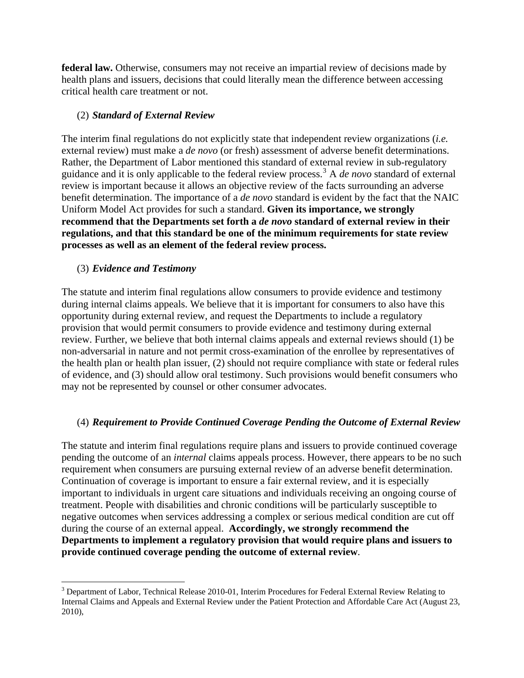**federal law.** Otherwise, consumers may not receive an impartial review of decisions made by health plans and issuers, decisions that could literally mean the difference between accessing critical health care treatment or not.

#### (2) *Standard of External Review*

The interim final regulations do not explicitly state that independent review organizations (*i.e.*  external review) must make a *de novo* (or fresh) assessment of adverse benefit determinations. Rather, the Department of Labor mentioned this standard of external review in sub-regulatory guidance and it is only applicable to the federal review process.[3](#page-3-0) A *de novo* standard of external review is important because it allows an objective review of the facts surrounding an adverse benefit determination. The importance of a *de novo* standard is evident by the fact that the NAIC Uniform Model Act provides for such a standard. **Given its importance, we strongly recommend that the Departments set forth a** *de novo* **standard of external review in their regulations, and that this standard be one of the minimum requirements for state review processes as well as an element of the federal review process.**

#### (3) *Evidence and Testimony*

 $\overline{a}$ 

The statute and interim final regulations allow consumers to provide evidence and testimony during internal claims appeals. We believe that it is important for consumers to also have this opportunity during external review, and request the Departments to include a regulatory provision that would permit consumers to provide evidence and testimony during external review. Further, we believe that both internal claims appeals and external reviews should (1) be non-adversarial in nature and not permit cross-examination of the enrollee by representatives of the health plan or health plan issuer, (2) should not require compliance with state or federal rules of evidence, and (3) should allow oral testimony. Such provisions would benefit consumers who may not be represented by counsel or other consumer advocates.

## (4) *Requirement to Provide Continued Coverage Pending the Outcome of External Review*

The statute and interim final regulations require plans and issuers to provide continued coverage pending the outcome of an *internal* claims appeals process. However, there appears to be no such requirement when consumers are pursuing external review of an adverse benefit determination. Continuation of coverage is important to ensure a fair external review, and it is especially important to individuals in urgent care situations and individuals receiving an ongoing course of treatment. People with disabilities and chronic conditions will be particularly susceptible to negative outcomes when services addressing a complex or serious medical condition are cut off during the course of an external appeal. **Accordingly, we strongly recommend the Departments to implement a regulatory provision that would require plans and issuers to provide continued coverage pending the outcome of external review**.

<span id="page-3-0"></span> $3$  Department of Labor, Technical Release 2010-01, Interim Procedures for Federal External Review Relating to Internal Claims and Appeals and External Review under the Patient Protection and Affordable Care Act (August 23, 2010),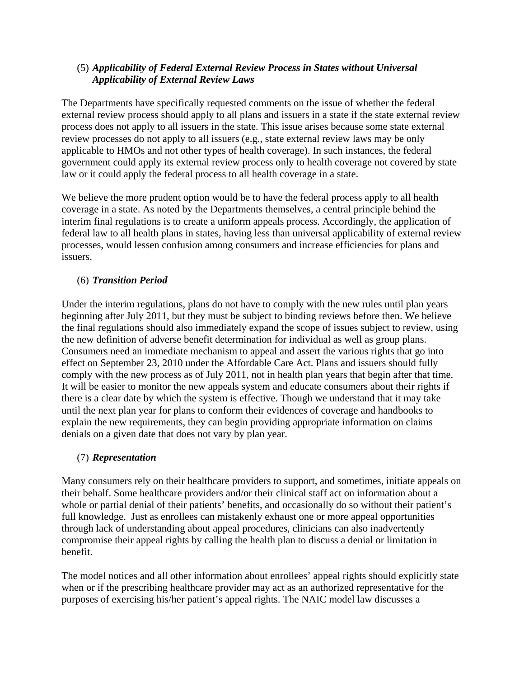## (5) *Applicability of Federal External Review Process in States without Universal Applicability of External Review Laws*

The Departments have specifically requested comments on the issue of whether the federal external review process should apply to all plans and issuers in a state if the state external review process does not apply to all issuers in the state. This issue arises because some state external review processes do not apply to all issuers (e.g., state external review laws may be only applicable to HMOs and not other types of health coverage). In such instances, the federal government could apply its external review process only to health coverage not covered by state law or it could apply the federal process to all health coverage in a state.

We believe the more prudent option would be to have the federal process apply to all health coverage in a state. As noted by the Departments themselves, a central principle behind the interim final regulations is to create a uniform appeals process. Accordingly, the application of federal law to all health plans in states, having less than universal applicability of external review processes, would lessen confusion among consumers and increase efficiencies for plans and issuers.

# (6) *Transition Period*

Under the interim regulations, plans do not have to comply with the new rules until plan years beginning after July 2011, but they must be subject to binding reviews before then. We believe the final regulations should also immediately expand the scope of issues subject to review, using the new definition of adverse benefit determination for individual as well as group plans. Consumers need an immediate mechanism to appeal and assert the various rights that go into effect on September 23, 2010 under the Affordable Care Act. Plans and issuers should fully comply with the new process as of July 2011, not in health plan years that begin after that time. It will be easier to monitor the new appeals system and educate consumers about their rights if there is a clear date by which the system is effective. Though we understand that it may take until the next plan year for plans to conform their evidences of coverage and handbooks to explain the new requirements, they can begin providing appropriate information on claims denials on a given date that does not vary by plan year.

## (7) *Representation*

Many consumers rely on their healthcare providers to support, and sometimes, initiate appeals on their behalf. Some healthcare providers and/or their clinical staff act on information about a whole or partial denial of their patients' benefits, and occasionally do so without their patient's full knowledge. Just as enrollees can mistakenly exhaust one or more appeal opportunities through lack of understanding about appeal procedures, clinicians can also inadvertently compromise their appeal rights by calling the health plan to discuss a denial or limitation in benefit.

The model notices and all other information about enrollees' appeal rights should explicitly state when or if the prescribing healthcare provider may act as an authorized representative for the purposes of exercising his/her patient's appeal rights. The NAIC model law discusses a